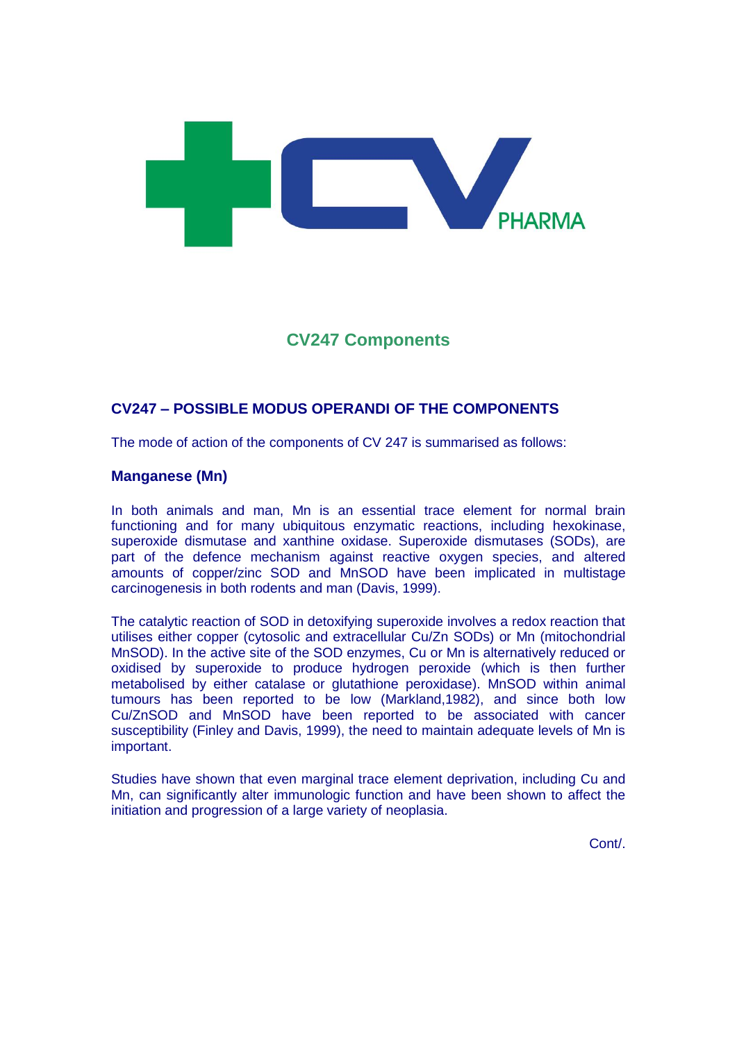

# **CV247 Components**

## **CV247 – POSSIBLE MODUS OPERANDI OF THE COMPONENTS**

The mode of action of the components of CV 247 is summarised as follows:

#### **Manganese (Mn)**

In both animals and man, Mn is an essential trace element for normal brain functioning and for many ubiquitous enzymatic reactions, including hexokinase, superoxide dismutase and xanthine oxidase. Superoxide dismutases (SODs), are part of the defence mechanism against reactive oxygen species, and altered amounts of copper/zinc SOD and MnSOD have been implicated in multistage carcinogenesis in both rodents and man (Davis, 1999).

The catalytic reaction of SOD in detoxifying superoxide involves a redox reaction that utilises either copper (cytosolic and extracellular Cu/Zn SODs) or Mn (mitochondrial MnSOD). In the active site of the SOD enzymes, Cu or Mn is alternatively reduced or oxidised by superoxide to produce hydrogen peroxide (which is then further metabolised by either catalase or glutathione peroxidase). MnSOD within animal tumours has been reported to be low (Markland,1982), and since both low Cu/ZnSOD and MnSOD have been reported to be associated with cancer susceptibility (Finley and Davis, 1999), the need to maintain adequate levels of Mn is important.

Studies have shown that even marginal trace element deprivation, including Cu and Mn, can significantly alter immunologic function and have been shown to affect the initiation and progression of a large variety of neoplasia.

Cont/.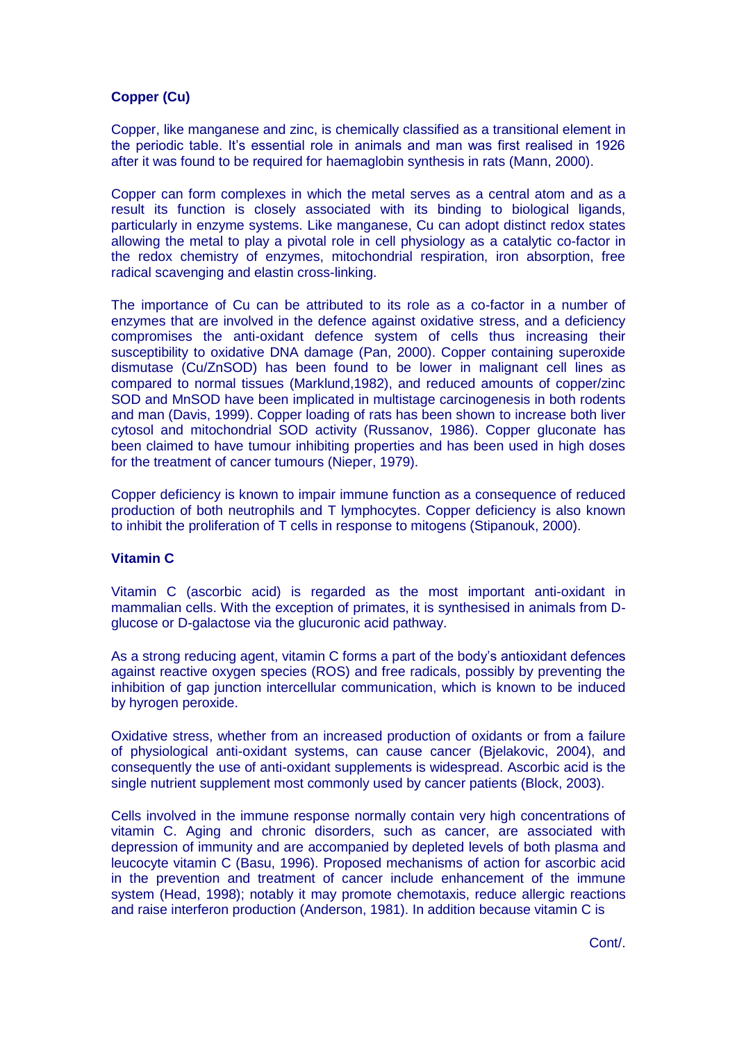### **Copper (Cu)**

Copper, like manganese and zinc, is chemically classified as a transitional element in the periodic table. It's essential role in animals and man was first realised in 1926 after it was found to be required for haemaglobin synthesis in rats (Mann, 2000).

Copper can form complexes in which the metal serves as a central atom and as a result its function is closely associated with its binding to biological ligands, particularly in enzyme systems. Like manganese, Cu can adopt distinct redox states allowing the metal to play a pivotal role in cell physiology as a catalytic co-factor in the redox chemistry of enzymes, mitochondrial respiration, iron absorption, free radical scavenging and elastin cross-linking.

The importance of Cu can be attributed to its role as a co-factor in a number of enzymes that are involved in the defence against oxidative stress, and a deficiency compromises the anti-oxidant defence system of cells thus increasing their susceptibility to oxidative DNA damage (Pan, 2000). Copper containing superoxide dismutase (Cu/ZnSOD) has been found to be lower in malignant cell lines as compared to normal tissues (Marklund,1982), and reduced amounts of copper/zinc SOD and MnSOD have been implicated in multistage carcinogenesis in both rodents and man (Davis, 1999). Copper loading of rats has been shown to increase both liver cytosol and mitochondrial SOD activity (Russanov, 1986). Copper gluconate has been claimed to have tumour inhibiting properties and has been used in high doses for the treatment of cancer tumours (Nieper, 1979).

Copper deficiency is known to impair immune function as a consequence of reduced production of both neutrophils and T lymphocytes. Copper deficiency is also known to inhibit the proliferation of T cells in response to mitogens (Stipanouk, 2000).

#### **Vitamin C**

Vitamin C (ascorbic acid) is regarded as the most important anti-oxidant in mammalian cells. With the exception of primates, it is synthesised in animals from Dglucose or D-galactose via the glucuronic acid pathway.

As a strong reducing agent, vitamin C forms a part of the body's antioxidant defences against reactive oxygen species (ROS) and free radicals, possibly by preventing the inhibition of gap junction intercellular communication, which is known to be induced by hyrogen peroxide.

Oxidative stress, whether from an increased production of oxidants or from a failure of physiological anti-oxidant systems, can cause cancer (Bjelakovic, 2004), and consequently the use of anti-oxidant supplements is widespread. Ascorbic acid is the single nutrient supplement most commonly used by cancer patients (Block, 2003).

Cells involved in the immune response normally contain very high concentrations of vitamin C. Aging and chronic disorders, such as cancer, are associated with depression of immunity and are accompanied by depleted levels of both plasma and leucocyte vitamin C (Basu, 1996). Proposed mechanisms of action for ascorbic acid in the prevention and treatment of cancer include enhancement of the immune system (Head, 1998); notably it may promote chemotaxis, reduce allergic reactions and raise interferon production (Anderson, 1981). In addition because vitamin C is